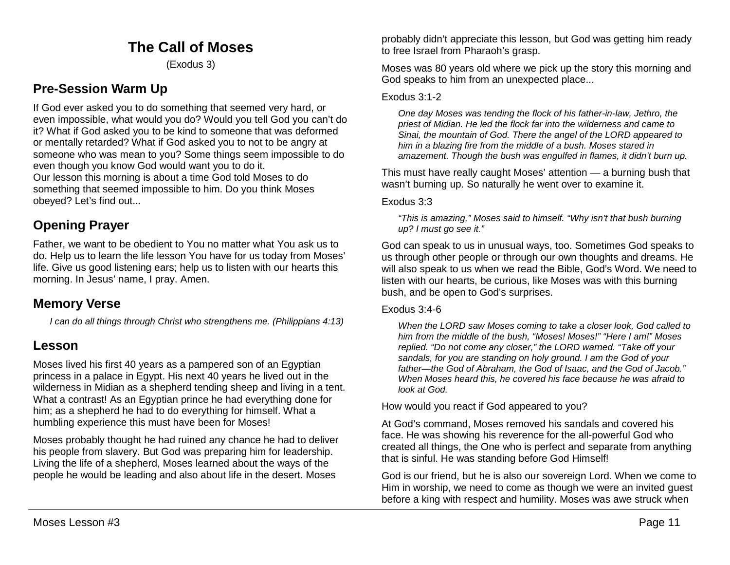# **The Call of Moses**

(Exodus 3)

# **Pre-Session Warm Up**

If God ever asked you to do something that seemed very hard, or even impossible, what would you do? Would you tell God you can't do it? What if God asked you to be kind to someone that was deformed or mentally retarded? What if God asked you to not to be angry at someone who was mean to you? Some things seem impossible to do even though you know God would want you to do it. Our lesson this morning is about a time God told Moses to do something that seemed impossible to him. Do you think Moses obeyed? Let's find out...

# **Opening Prayer**

Father, we want to be obedient to You no matter what You ask us to do. Help us to learn the life lesson You have for us today from Moses' life. Give us good listening ears; help us to listen with our hearts this morning. In Jesus' name, I pray. Amen.

# **Memory Verse**

*I can do all things through Christ who strengthens me. (Philippians 4:13)*

# **Lesson**

Moses lived his first 40 years as a pampered son of an Egyptian princess in a palace in Egypt. His next 40 years he lived out in the wilderness in Midian as a shepherd tending sheep and living in a tent. What a contrast! As an Egyptian prince he had everything done for him; as a shepherd he had to do everything for himself. What a humbling experience this must have been for Moses!

Moses probably thought he had ruined any chance he had to deliver his people from slavery. But God was preparing him for leadership. Living the life of a shepherd, Moses learned about the ways of the people he would be leading and also about life in the desert. Moses

probably didn't appreciate this lesson, but God was getting him ready to free Israel from Pharaoh's grasp.

Moses was 80 years old where we pick up the story this morning and God speaks to him from an unexpected place...

### Exodus 3:1-2

*One day Moses was tending the flock of his father-in-law, Jethro, the priest of Midian. He led the flock far into the wilderness and came to Sinai, the mountain of God. There the angel of the LORD appeared to him in a blazing fire from the middle of a bush. Moses stared in amazement. Though the bush was engulfed in flames, it didn't burn up.* 

This must have really caught Moses' attention — a burning bush that wasn't burning up. So naturally he went over to examine it.

### Exodus 3:3

*"This is amazing," Moses said to himself. "Why isn't that bush burning up? I must go see it."*

God can speak to us in unusual ways, too. Sometimes God speaks to us through other people or through our own thoughts and dreams. He will also speak to us when we read the Bible, God's Word. We need to listen with our hearts, be curious, like Moses was with this burning bush, and be open to God's surprises.

### Exodus 3:4-6

*When the LORD saw Moses coming to take a closer look, God called to him from the middle of the bush, "Moses! Moses!" "Here I am!" Moses replied. "Do not come any closer," the LORD warned. "Take off your sandals, for you are standing on holy ground. I am the God of your father—the God of Abraham, the God of Isaac, and the God of Jacob." When Moses heard this, he covered his face because he was afraid to look at God.* 

How would you react if God appeared to you?

At God's command, Moses removed his sandals and covered his face. He was showing his reverence for the all-powerful God who created all things, the One who is perfect and separate from anything that is sinful. He was standing before God Himself!

God is our friend, but he is also our sovereign Lord. When we come to Him in worship, we need to come as though we were an invited guest before a king with respect and humility. Moses was awe struck when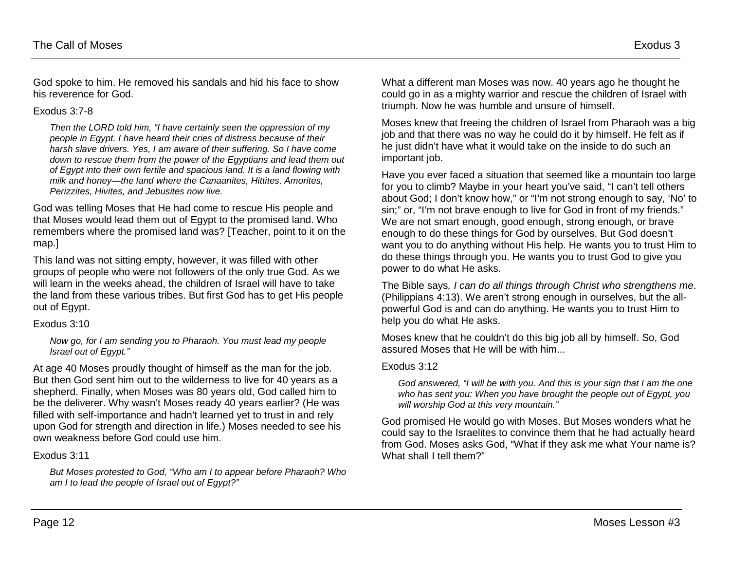God spoke to him. He removed his sandals and hid his face to show his reverence for God.

### Exodus 3:7-8

*Then the LORD told him, "I have certainly seen the oppression of my people in Egypt. I have heard their cries of distress because of their harsh slave drivers. Yes, I am aware of their suffering. So I have come down to rescue them from the power of the Egyptians and lead them out of Egypt into their own fertile and spacious land. It is a land flowing with milk and honey—the land where the Canaanites, Hittites, Amorites, Perizzites, Hivites, and Jebusites now live.* 

God was telling Moses that He had come to rescue His people and that Moses would lead them out of Egypt to the promised land. Who remembers where the promised land was? [Teacher, point to it on the map.]

This land was not sitting empty, however, it was filled with other groups of people who were not followers of the only true God. As we will learn in the weeks ahead, the children of Israel will have to take the land from these various tribes. But first God has to get His people out of Egypt.

### Exodus 3:10

*Now go, for I am sending you to Pharaoh. You must lead my people Israel out of Egypt."*

At age 40 Moses proudly thought of himself as the man for the job. But then God sent him out to the wilderness to live for 40 years as a shepherd. Finally, when Moses was 80 years old, God called him to be the deliverer. Why wasn't Moses ready 40 years earlier? (He was filled with self-importance and hadn't learned yet to trust in and rely upon God for strength and direction in life.) Moses needed to see his own weakness before God could use him.

### Exodus 3:11

*But Moses protested to God, "Who am I to appear before Pharaoh? Who am I to lead the people of Israel out of Egypt?"* 

What a different man Moses was now. 40 years ago he thought he could go in as a mighty warrior and rescue the children of Israel with triumph. Now he was humble and unsure of himself.

Moses knew that freeing the children of Israel from Pharaoh was a big job and that there was no way he could do it by himself. He felt as if he just didn't have what it would take on the inside to do such an important *job*.

Have you ever faced a situation that seemed like a mountain too large for you to climb? Maybe in your heart you've said, "I can't tell others about God; I don't know how," or "I'm not strong enough to say, 'No' to sin;" or, "I'm not brave enough to live for God in front of my friends." We are not smart enough, good enough, strong enough, or brave enough to do these things for God by ourselves. But God doesn't want you to do anything without His help. He wants you to trust Him to do these things through you. He wants you to trust God to give you power to do what He asks.

The Bible says*, I can do all things through Christ who strengthens me*. (Philippians 4:13). We aren't strong enough in ourselves, but the allpowerful God is and can do anything. He wants you to trust Him to help you do what He asks.

Moses knew that he couldn't do this big job all by himself. So, God assured Moses that He will be with him...

### Exodus 3:12

*God answered, "I will be with you. And this is your sign that I am the one who has sent you: When you have brought the people out of Egypt, you will worship God at this very mountain."*

God promised He would go with Moses. But Moses wonders what he could say to the Israelites to convince them that he had actually heard from God. Moses asks God, "What if they ask me what Your name is? What shall I tell them?"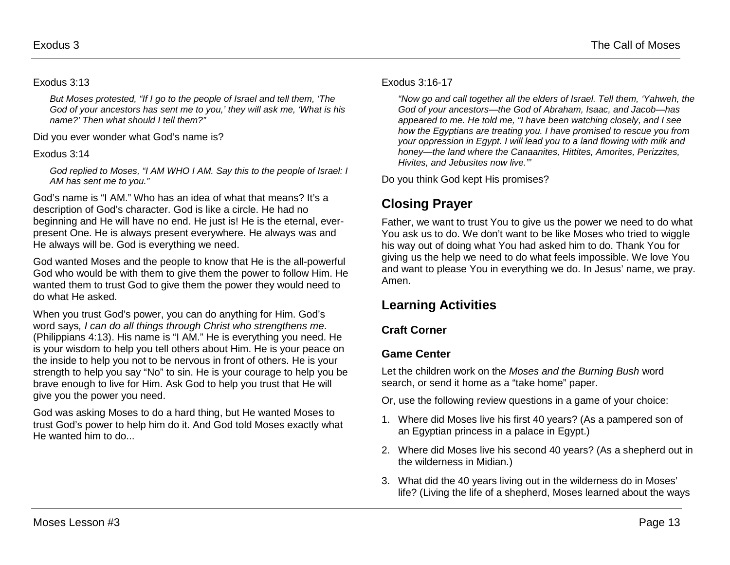### Exodus 3:13

*But Moses protested, "If I go to the people of Israel and tell them, 'The God of your ancestors has sent me to you,' they will ask me, 'What is his name?' Then what should I tell them?"*

Did you ever wonder what God's name is?

### Exodus 3:14

*God replied to Moses, "I AM WHO I AM. Say this to the people of Israel: I AM has sent me to you."*

God's name is "I AM." Who has an idea of what that means? It's a description of God's character. God is like a circle. He had no beginning and He will have no end. He just is! He is the eternal, everpresent One. He is always present everywhere. He always was and He always will be. God is everything we need.

God wanted Moses and the people to know that He is the all-powerful God who would be with them to give them the power to follow Him. He wanted them to trust God to give them the power they would need to do what He asked.

When you trust God's power, you can do anything for Him. God's word says*, I can do all things through Christ who strengthens me*. (Philippians 4:13). His name is "I AM." He is everything you need. He is your wisdom to help you tell others about Him. He is your peace on the inside to help you not to be nervous in front of others. He is your strength to help you say "No" to sin. He is your courage to help you be brave enough to live for Him. Ask God to help you trust that He will give you the power you need.

God was asking Moses to do a hard thing, but He wanted Moses to trust God's power to help him do it. And God told Moses exactly what He wanted him to do...

### Exodus 3:16-17

*"Now go and call together all the elders of Israel. Tell them, 'Yahweh, the God of your ancestors—the God of Abraham, Isaac, and Jacob—has appeared to me. He told me, "I have been watching closely, and I see how the Egyptians are treating you. I have promised to rescue you from your oppression in Egypt. I will lead you to a land flowing with milk and honey—the land where the Canaanites, Hittites, Amorites, Perizzites, Hivites, and Jebusites now live."'* 

Do you think God kept His promises?

# **Closing Prayer**

Father, we want to trust You to give us the power we need to do what You ask us to do. We don't want to be like Moses who tried to wiggle his way out of doing what You had asked him to do. Thank You for giving us the help we need to do what feels impossible. We love You and want to please You in everything we do. In Jesus' name, we pray. Amen.

# **Learning Activities**

# **Craft Corner**

## **Game Center**

Let the children work on the *Moses and the Burning Bush* word search, or send it home as a "take home" paper.

Or, use the following review questions in a game of your choice:

- 1. Where did Moses live his first 40 years? (As a pampered son of an Egyptian princess in a palace in Egypt.)
- 2. Where did Moses live his second 40 years? (As a shepherd out in the wilderness in Midian.)
- 3. What did the 40 years living out in the wilderness do in Moses' life? (Living the life of a shepherd, Moses learned about the ways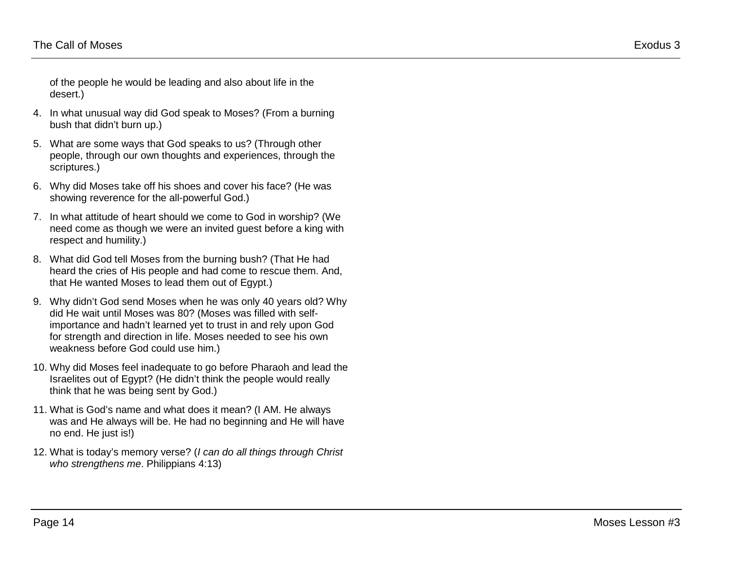of the people he would be leading and also about life in the desert.)

- 4. In what unusual way did God speak to Moses? (From a burning bush that didn't burn up.)
- 5. What are some ways that God speaks to us? (Through other people, through our own thoughts and experiences, through the scriptures.)
- 6. Why did Moses take off his shoes and cover his face? (He was showing reverence for the all-powerful God.)
- 7. In what attitude of heart should we come to God in worship? (We need come as though we were an invited guest before a king with respect and humility.)
- 8. What did God tell Moses from the burning bush? (That He had heard the cries of His people and had come to rescue them. And, that He wanted Moses to lead them out of Egypt.)
- 9. Why didn't God send Moses when he was only 40 years old? Why did He wait until Moses was 80? (Moses was filled with selfimportance and hadn't learned yet to trust in and rely upon God for strength and direction in life. Moses needed to see his own weakness before God could use him.)
- 10. Why did Moses feel inadequate to go before Pharaoh and lead the Israelites out of Egypt? (He didn't think the people would really think that he was being sent by God.)
- 11. What is God's name and what does it mean? (I AM. He always was and He always will be. He had no beginning and He will have no end. He just is!)
- 12. What is today's memory verse? (*I can do all things through Christ who strengthens me*. Philippians 4:13)